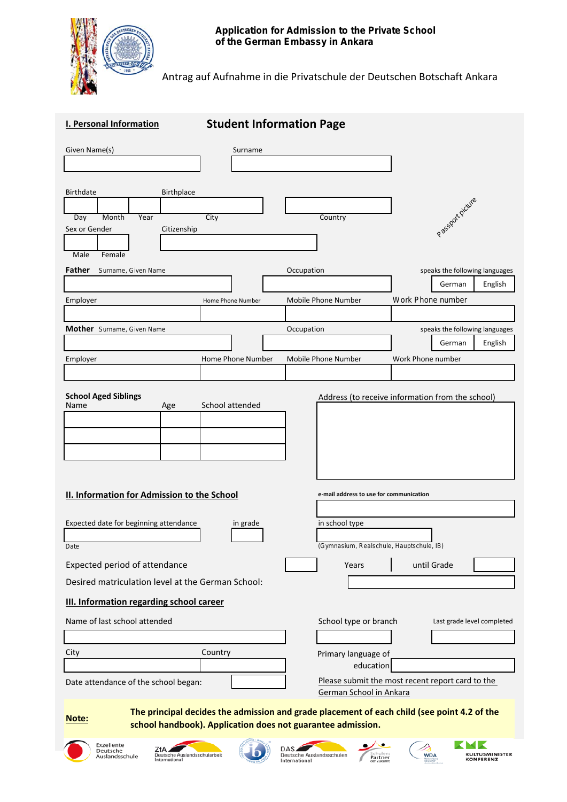

Antrag auf Aufnahme in die Privatschule der Deutschen Botschaft Ankara

| <b>I. Personal Information</b>                                                                                                                                             | <b>Student Information Page</b> |                                                              |                                                     |
|----------------------------------------------------------------------------------------------------------------------------------------------------------------------------|---------------------------------|--------------------------------------------------------------|-----------------------------------------------------|
| Given Name(s)                                                                                                                                                              | Surname                         |                                                              |                                                     |
| Birthdate<br>Birthplace<br>Day<br>Month<br>Year<br>Sex or Gender<br>Citizenship                                                                                            | City                            | Country                                                      | Passak picture                                      |
| Male<br>Female<br>Father<br>Surname, Given Name                                                                                                                            |                                 | Occupation                                                   | speaks the following languages                      |
|                                                                                                                                                                            |                                 |                                                              | English<br>German                                   |
| Employer                                                                                                                                                                   | Home Phone Number               | Mobile Phone Number                                          | Work Phone number                                   |
| <b>Mother</b> Surname, Given Name                                                                                                                                          |                                 | Occupation                                                   | speaks the following languages<br>English<br>German |
| Employer                                                                                                                                                                   | Home Phone Number               | Mobile Phone Number                                          | Work Phone number                                   |
| <b>School Aged Siblings</b><br>Name<br>Age                                                                                                                                 | School attended                 |                                                              | Address (to receive information from the school)    |
| II. Information for Admission to the School<br>e-mail address to use for communication                                                                                     |                                 |                                                              |                                                     |
| Expected date for beginning attendance<br>Date                                                                                                                             | in grade                        | in school type<br>(Gymnasium, Realschule, Hauptschule, IB)   |                                                     |
| Expected period of attendance                                                                                                                                              |                                 | Years                                                        | until Grade                                         |
| Desired matriculation level at the German School:                                                                                                                          |                                 |                                                              |                                                     |
| III. Information regarding school career                                                                                                                                   |                                 |                                                              |                                                     |
| Name of last school attended                                                                                                                                               |                                 | School type or branch                                        | Last grade level completed                          |
|                                                                                                                                                                            |                                 |                                                              |                                                     |
| City                                                                                                                                                                       | Country                         | Primary language of<br>education                             |                                                     |
| Date attendance of the school began:                                                                                                                                       |                                 | German School in Ankara                                      | Please submit the most recent report card to the    |
| The principal decides the admission and grade placement of each child (see point 4.2 of the<br><u>Note:</u><br>school handbook). Application does not guarantee admission. |                                 |                                                              |                                                     |
| Exzellente<br>ZfA<br>Deutsche<br>Deutsche Auslandsschularbeit<br>Auslandsschule<br>International                                                                           |                                 | DAS.<br>Deutsche Auslandsschulen<br>Partner<br>International | KULTUSMINISTER<br><b>WDA</b><br><b>KONFERENZ</b>    |